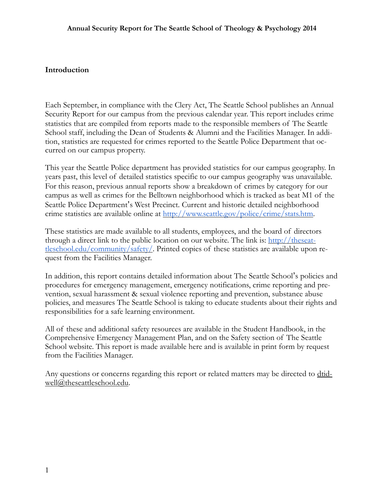#### **Introduction**

Each September, in compliance with the Clery Act, The Seattle School publishes an Annual Security Report for our campus from the previous calendar year. This report includes crime statistics that are compiled from reports made to the responsible members of The Seattle School staff, including the Dean of Students & Alumni and the Facilities Manager. In addition, statistics are requested for crimes reported to the Seattle Police Department that occurred on our campus property.

This year the Seattle Police department has provided statistics for our campus geography. In years past, this level of detailed statistics specific to our campus geography was unavailable. For this reason, previous annual reports show a breakdown of crimes by category for our campus as well as crimes for the Belltown neighborhood which is tracked as beat M1 of the Seattle Police Department's West Precinct. Current and historic detailed neighborhood crime statistics are available online at <http://www.seattle.gov/police/crime/stats.htm>.

These statistics are made available to all students, employees, and the board of directors through a direct link to the public location on our website. The link is:  $\frac{http://the seat-}{http://the seat-}$ tleschool.edu/community/safety/. Printed copies of these statistics are available upon request from the Facilities Manager.

In addition, this report contains detailed information about The Seattle School's policies and procedures for emergency management, emergency notifications, crime reporting and prevention, sexual harassment & sexual violence reporting and prevention, substance abuse policies, and measures The Seattle School is taking to educate students about their rights and responsibilities for a safe learning environment.

All of these and additional safety resources are available in the Student Handbook, in the Comprehensive Emergency Management Plan, and on the Safety section of The Seattle School website. This report is made available here and is available in print form by request from the Facilities Manager.

[Any questions or concerns regarding this](mailto:dtidwell@theseattleschool.edu) report or related matters may be directed to dtidwell@theseattleschool.edu.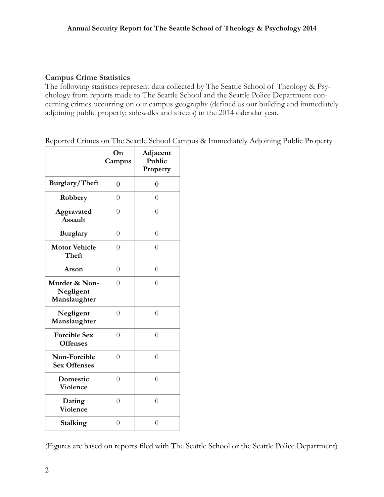#### **Campus Crime Statistics**

The following statistics represent data collected by The Seattle School of Theology & Psychology from reports made to The Seattle School and the Seattle Police Department concerning crimes occurring on our campus geography (defined as our building and immediately adjoining public property: sidewalks and streets) in the 2014 calendar year.

Reported Crimes on The Seattle School Campus & Immediately Adjoining Public Property

|                                            | On<br>Campus   | Adjacent<br>Public<br>Property |
|--------------------------------------------|----------------|--------------------------------|
| Burglary/Theft                             | $\overline{0}$ | 0                              |
| Robbery                                    | $\overline{0}$ | $\overline{0}$                 |
| Aggravated<br><b>Assault</b>               | $\overline{0}$ | $\overline{0}$                 |
| <b>Burglary</b>                            | $\overline{0}$ | $\overline{0}$                 |
| <b>Motor Vehicle</b><br>Theft              | $\overline{0}$ | $\theta$                       |
| Arson                                      | $\overline{0}$ | $\overline{0}$                 |
| Murder & Non-<br>Negligent<br>Manslaughter | $\overline{0}$ | $\theta$                       |
| Negligent<br>Manslaughter                  | $\overline{0}$ | $\overline{0}$                 |
| <b>Forcible Sex</b><br><b>Offenses</b>     | $\overline{0}$ | $\overline{0}$                 |
| Non-Forcible<br><b>Sex Offenses</b>        | $\overline{0}$ | $\overline{0}$                 |
| Domestic<br>Violence                       | $\overline{0}$ | $\overline{0}$                 |
| Dating<br>Violence                         | $\overline{0}$ | $\overline{0}$                 |
| Stalking                                   | $\overline{0}$ | $\overline{0}$                 |

(Figures are based on reports filed with The Seattle School or the Seattle Police Department)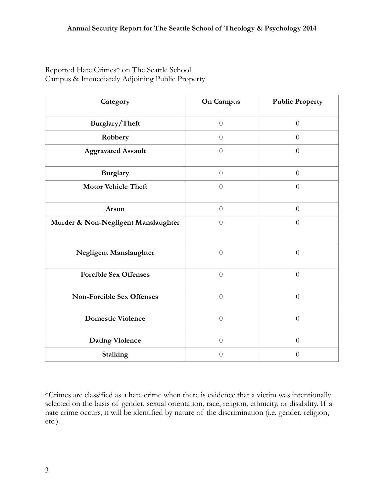Reported Hate Crimes\* on The Seattle School Campus & Immediately Adjoining Public Property

| Category                            | <b>On Campus</b> | <b>Public Property</b> |
|-------------------------------------|------------------|------------------------|
| Burglary/Theft                      | $\theta$         | $\theta$               |
| Robbery                             | $\theta$         | $\theta$               |
| <b>Aggravated Assault</b>           | $\theta$         | $\theta$               |
| <b>Burglary</b>                     | $\theta$         | $\theta$               |
| <b>Motor Vehicle Theft</b>          | $\theta$         | $\theta$               |
| Arson                               | $\theta$         | $\theta$               |
| Murder & Non-Negligent Manslaughter | $\theta$         | $\theta$               |
| Negligent Manslaughter              | $\overline{0}$   | $\overline{0}$         |
| <b>Forcible Sex Offenses</b>        | $\overline{0}$   | $\overline{0}$         |
| <b>Non-Forcible Sex Offenses</b>    | $\overline{0}$   | $\overline{0}$         |
| <b>Domestic Violence</b>            | $\theta$         | $\theta$               |
| <b>Dating Violence</b>              | $\theta$         | $\theta$               |
| Stalking                            | $\theta$         | $\theta$               |

\*Crimes are classified as a hate crime when there is evidence that a victim was intentionally selected on the basis of gender, sexual orientation, race, religion, ethnicity, or disability. If a hate crime occurs, it will be identified by nature of the discrimination (i.e. gender, religion, etc.).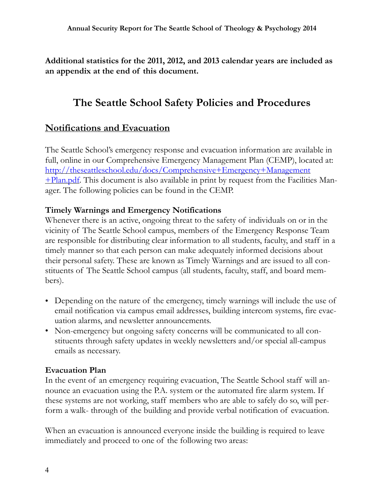**Additional statistics for the 2011, 2012, and 2013 calendar years are included as an appendix at the end of this document.**

# **The Seattle School Safety Policies and Procedures**

# **Notifications and Evacuation**

The Seattle School's emergency response and evacuation information are available in full, online in our Comprehensive Emergency Management Plan (CEMP), located at: [http://theseattleschool.edu/docs/Comprehensive+Emergency+Management](http://theseattleschool.edu/docs/Comprehensive+Emergency+Management+Plan.pdf)  $+$ Plan.pdf. This document is also available in print by request from the Facilities Manager. The following policies can be found in the CEMP.

#### **Timely Warnings and Emergency Notifications**

Whenever there is an active, ongoing threat to the safety of individuals on or in the vicinity of The Seattle School campus, members of the Emergency Response Team are responsible for distributing clear information to all students, faculty, and staff in a timely manner so that each person can make adequately informed decisions about their personal safety. These are known as Timely Warnings and are issued to all constituents of The Seattle School campus (all students, faculty, staff, and board members).

- Depending on the nature of the emergency, timely warnings will include the use of email notification via campus email addresses, building intercom systems, fire evacuation alarms, and newsletter announcements.
- Non-emergency but ongoing safety concerns will be communicated to all constituents through safety updates in weekly newsletters and/or special all-campus emails as necessary.

## **Evacuation Plan**

In the event of an emergency requiring evacuation, The Seattle School staff will announce an evacuation using the P.A. system or the automated fire alarm system. If these systems are not working, staff members who are able to safely do so, will perform a walk- through of the building and provide verbal notification of evacuation.

When an evacuation is announced everyone inside the building is required to leave immediately and proceed to one of the following two areas: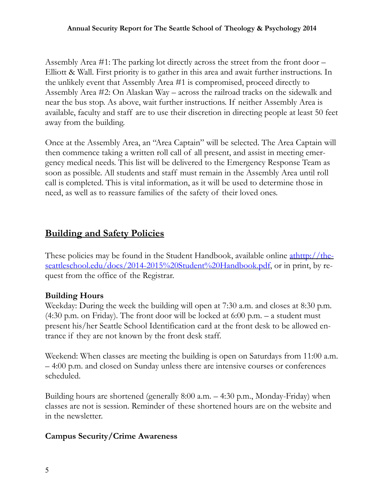Assembly Area #1: The parking lot directly across the street from the front door – Elliott & Wall. First priority is to gather in this area and await further instructions. In the unlikely event that Assembly Area #1 is compromised, proceed directly to Assembly Area #2: On Alaskan Way – across the railroad tracks on the sidewalk and near the bus stop. As above, wait further instructions. If neither Assembly Area is available, faculty and staff are to use their discretion in directing people at least 50 feet away from the building.

Once at the Assembly Area, an "Area Captain" will be selected. The Area Captain will then commence taking a written roll call of all present, and assist in meeting emergency medical needs. This list will be delivered to the Emergency Response Team as soon as possible. All students and staff must remain in the Assembly Area until roll call is completed. This is vital information, as it will be used to determine those in need, as well as to reassure families of the safety of their loved ones.

# **Building and Safety Policies**

These policies may be found in the Student Handbook, available online athttp://theseattleschool.edu/docs/2014-2015%20Student%20Handbook.pdf, or in print, by request from the office of the Registrar.

# **Building Hours**

Weekday: During the week the building will open at 7:30 a.m. and closes at 8:30 p.m. (4:30 p.m. on Friday). The front door will be locked at 6:00 p.m. – a student must present his/her Seattle School Identification card at the front desk to be allowed entrance if they are not known by the front desk staff.

Weekend: When classes are meeting the building is open on Saturdays from 11:00 a.m. – 4:00 p.m. and closed on Sunday unless there are intensive courses or conferences scheduled.

Building hours are shortened (generally 8:00 a.m. – 4:30 p.m., Monday-Friday) when classes are not is session. Reminder of these shortened hours are on the website and in the newsletter.

# **Campus Security/Crime Awareness**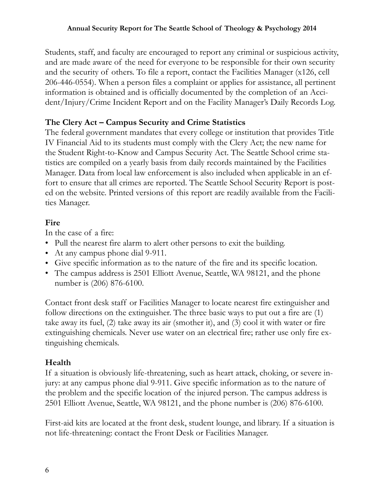Students, staff, and faculty are encouraged to report any criminal or suspicious activity, and are made aware of the need for everyone to be responsible for their own security and the security of others. To file a report, contact the Facilities Manager (x126, cell 206-446-0554). When a person files a complaint or applies for assistance, all pertinent information is obtained and is officially documented by the completion of an Accident/Injury/Crime Incident Report and on the Facility Manager's Daily Records Log.

## **The Clery Act – Campus Security and Crime Statistics**

The federal government mandates that every college or institution that provides Title IV Financial Aid to its students must comply with the Clery Act; the new name for the Student Right-to-Know and Campus Security Act. The Seattle School crime statistics are compiled on a yearly basis from daily records maintained by the Facilities Manager. Data from local law enforcement is also included when applicable in an effort to ensure that all crimes are reported. The Seattle School Security Report is posted on the website. Printed versions of this report are readily available from the Facilities Manager.

## **Fire**

In the case of a fire:

- Pull the nearest fire alarm to alert other persons to exit the building.
- At any campus phone dial 9-911.
- Give specific information as to the nature of the fire and its specific location.
- The campus address is 2501 Elliott Avenue, Seattle, WA 98121, and the phone number is (206) 876-6100.

Contact front desk staff or Facilities Manager to locate nearest fire extinguisher and follow directions on the extinguisher. The three basic ways to put out a fire are (1) take away its fuel, (2) take away its air (smother it), and (3) cool it with water or fire extinguishing chemicals. Never use water on an electrical fire; rather use only fire extinguishing chemicals.

## **Health**

If a situation is obviously life-threatening, such as heart attack, choking, or severe injury: at any campus phone dial 9-911. Give specific information as to the nature of the problem and the specific location of the injured person. The campus address is 2501 Elliott Avenue, Seattle, WA 98121, and the phone number is (206) 876-6100.

First-aid kits are located at the front desk, student lounge, and library. If a situation is not life-threatening: contact the Front Desk or Facilities Manager.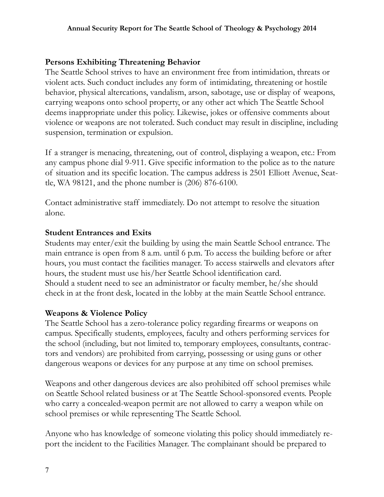#### **Persons Exhibiting Threatening Behavior**

The Seattle School strives to have an environment free from intimidation, threats or violent acts. Such conduct includes any form of intimidating, threatening or hostile behavior, physical altercations, vandalism, arson, sabotage, use or display of weapons, carrying weapons onto school property, or any other act which The Seattle School deems inappropriate under this policy. Likewise, jokes or offensive comments about violence or weapons are not tolerated. Such conduct may result in discipline, including suspension, termination or expulsion.

If a stranger is menacing, threatening, out of control, displaying a weapon, etc.: From any campus phone dial 9-911. Give specific information to the police as to the nature of situation and its specific location. The campus address is 2501 Elliott Avenue, Seattle, WA 98121, and the phone number is (206) 876-6100.

Contact administrative staff immediately. Do not attempt to resolve the situation alone.

## **Student Entrances and Exits**

Students may enter/exit the building by using the main Seattle School entrance. The main entrance is open from 8 a.m. until 6 p.m. To access the building before or after hours, you must contact the facilities manager. To access stairwells and elevators after hours, the student must use his/her Seattle School identification card. Should a student need to see an administrator or faculty member, he/she should check in at the front desk, located in the lobby at the main Seattle School entrance.

## **Weapons & Violence Policy**

The Seattle School has a zero-tolerance policy regarding firearms or weapons on campus. Specifically students, employees, faculty and others performing services for the school (including, but not limited to, temporary employees, consultants, contractors and vendors) are prohibited from carrying, possessing or using guns or other dangerous weapons or devices for any purpose at any time on school premises.

Weapons and other dangerous devices are also prohibited off school premises while on Seattle School related business or at The Seattle School-sponsored events. People who carry a concealed-weapon permit are not allowed to carry a weapon while on school premises or while representing The Seattle School.

Anyone who has knowledge of someone violating this policy should immediately report the incident to the Facilities Manager. The complainant should be prepared to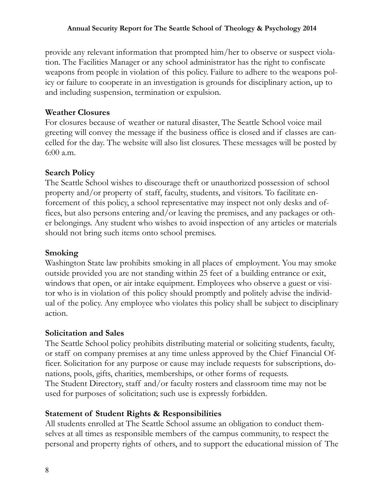provide any relevant information that prompted him/her to observe or suspect violation. The Facilities Manager or any school administrator has the right to confiscate weapons from people in violation of this policy. Failure to adhere to the weapons policy or failure to cooperate in an investigation is grounds for disciplinary action, up to and including suspension, termination or expulsion.

#### **Weather Closures**

For closures because of weather or natural disaster, The Seattle School voice mail greeting will convey the message if the business office is closed and if classes are cancelled for the day. The website will also list closures. These messages will be posted by 6:00 a.m.

## **Search Policy**

The Seattle School wishes to discourage theft or unauthorized possession of school property and/or property of staff, faculty, students, and visitors. To facilitate enforcement of this policy, a school representative may inspect not only desks and offices, but also persons entering and/or leaving the premises, and any packages or other belongings. Any student who wishes to avoid inspection of any articles or materials should not bring such items onto school premises.

## **Smoking**

Washington State law prohibits smoking in all places of employment. You may smoke outside provided you are not standing within 25 feet of a building entrance or exit, windows that open, or air intake equipment. Employees who observe a guest or visitor who is in violation of this policy should promptly and politely advise the individual of the policy. Any employee who violates this policy shall be subject to disciplinary action.

## **Solicitation and Sales**

The Seattle School policy prohibits distributing material or soliciting students, faculty, or staff on company premises at any time unless approved by the Chief Financial Officer. Solicitation for any purpose or cause may include requests for subscriptions, donations, pools, gifts, charities, memberships, or other forms of requests. The Student Directory, staff and/or faculty rosters and classroom time may not be used for purposes of solicitation; such use is expressly forbidden.

## **Statement of Student Rights & Responsibilities**

All students enrolled at The Seattle School assume an obligation to conduct themselves at all times as responsible members of the campus community, to respect the personal and property rights of others, and to support the educational mission of The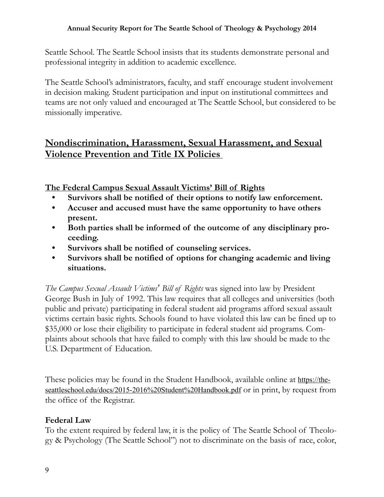Seattle School. The Seattle School insists that its students demonstrate personal and professional integrity in addition to academic excellence.

The Seattle School's administrators, faculty, and staff encourage student involvement in decision making. Student participation and input on institutional committees and teams are not only valued and encouraged at The Seattle School, but considered to be missionally imperative.

# **Nondiscrimination, Harassment, Sexual Harassment, and Sexual Violence Prevention and Title IX Policies**

**The Federal Campus Sexual Assault Victims' Bill of Rights**

- **Survivors shall be notified of their options to notify law enforcement.**
- **Accuser and accused must have the same opportunity to have others present.**
- **Both parties shall be informed of the outcome of any disciplinary proceeding.**
- **Survivors shall be notified of counseling services.**
- **Survivors shall be notified of options for changing academic and living situations.**

*The Campus Sexual Assault Victims' Bill of Rights* was signed into law by President George Bush in July of 1992. This law requires that all colleges and universities (both public and private) participating in federal student aid programs afford sexual assault victims certain basic rights. Schools found to have violated this law can be fined up to \$35,000 or lose their eligibility to participate in federal student aid programs. Complaints about schools that have failed to comply with this law should be made to the U.S. Department of Education.

[These policies may be found in the Student Handbook, available online at](https://theseattleschool.edu/docs/2015-2016%2520Student%2520Handbook.pdf) https://theseattleschool.edu/docs/2015-2016%20Student%20Handbook.pdf or in print, by request from the office of the Registrar.

## **Federal Law**

To the extent required by federal law, it is the policy of The Seattle School of Theology & Psychology (The Seattle School") not to discriminate on the basis of race, color,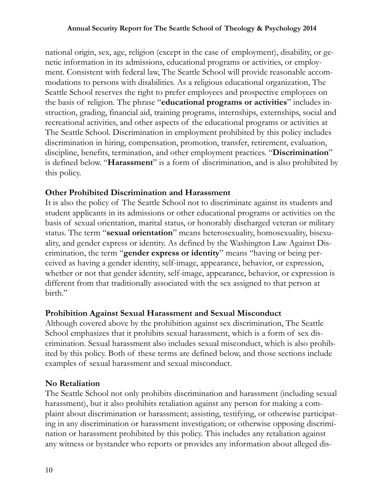national origin, sex, age, religion (except in the case of employment), disability, or genetic information in its admissions, educational programs or activities, or employment. Consistent with federal law, The Seattle School will provide reasonable accommodations to persons with disabilities. As a religious educational organization, The Seattle School reserves the right to prefer employees and prospective employees on the basis of religion. The phrase "**educational programs or activities**" includes instruction, grading, financial aid, training programs, internships, externships, social and recreational activities, and other aspects of the educational programs or activities at The Seattle School. Discrimination in employment prohibited by this policy includes discrimination in hiring, compensation, promotion, transfer, retirement, evaluation, discipline, benefits, termination, and other employment practices. "**Discrimination**" is defined below. "**Harassment**" is a form of discrimination, and is also prohibited by this policy.

#### **Other Prohibited Discrimination and Harassment**

It is also the policy of The Seattle School not to discriminate against its students and student applicants in its admissions or other educational programs or activities on the basis of sexual orientation, marital status, or honorably discharged veteran or military status. The term "**sexual orientation**" means heterosexuality, homosexuality, bisexuality, and gender express or identity. As defined by the Washington Law Against Discrimination, the term "**gender express or identity**" means "having or being perceived as having a gender identity, self-image, appearance, behavior, or expression, whether or not that gender identity, self-image, appearance, behavior, or expression is different from that traditionally associated with the sex assigned to that person at birth."

#### **Prohibition Against Sexual Harassment and Sexual Misconduct**

Although covered above by the prohibition against sex discrimination, The Seattle School emphasizes that it prohibits sexual harassment, which is a form of sex discrimination. Sexual harassment also includes sexual misconduct, which is also prohibited by this policy. Both of these terms are defined below, and those sections include examples of sexual harassment and sexual misconduct.

#### **No Retaliation**

The Seattle School not only prohibits discrimination and harassment (including sexual harassment), but it also prohibits retaliation against any person for making a complaint about discrimination or harassment; assisting, testifying, or otherwise participating in any discrimination or harassment investigation; or otherwise opposing discrimination or harassment prohibited by this policy. This includes any retaliation against any witness or bystander who reports or provides any information about alleged dis-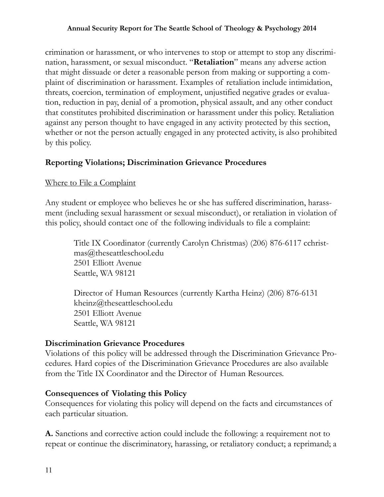crimination or harassment, or who intervenes to stop or attempt to stop any discrimination, harassment, or sexual misconduct. "**Retaliation**" means any adverse action that might dissuade or deter a reasonable person from making or supporting a complaint of discrimination or harassment. Examples of retaliation include intimidation, threats, coercion, termination of employment, unjustified negative grades or evaluation, reduction in pay, denial of a promotion, physical assault, and any other conduct that constitutes prohibited discrimination or harassment under this policy. Retaliation against any person thought to have engaged in any activity protected by this section, whether or not the person actually engaged in any protected activity, is also prohibited by this policy.

## **Reporting Violations; Discrimination Grievance Procedures**

## Where to File a Complaint

Any student or employee who believes he or she has suffered discrimination, harassment (including sexual harassment or sexual misconduct), or retaliation in violation of this policy, should contact one of the following individuals to file a complaint:

Title IX Coordinator (currently Carolyn Christmas) (206) 876-6117 cchristmas@theseattleschool.edu 2501 Elliott Avenue Seattle, WA 98121

Director of Human Resources (currently Kartha Heinz) (206) 876-6131 kheinz@theseattleschool.edu 2501 Elliott Avenue Seattle, WA 98121

#### **Discrimination Grievance Procedures**

Violations of this policy will be addressed through the Discrimination Grievance Procedures. Hard copies of the Discrimination Grievance Procedures are also available from the Title IX Coordinator and the Director of Human Resources.

#### **Consequences of Violating this Policy**

Consequences for violating this policy will depend on the facts and circumstances of each particular situation.

**A.** Sanctions and corrective action could include the following: a requirement not to repeat or continue the discriminatory, harassing, or retaliatory conduct; a reprimand; a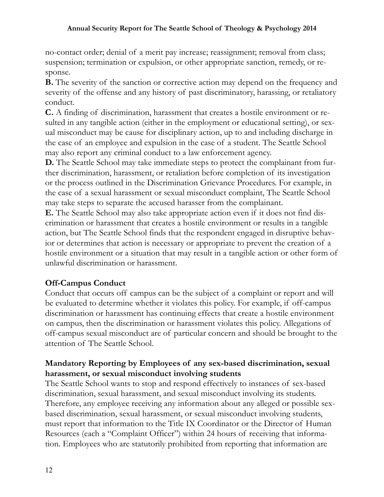no-contact order; denial of a merit pay increase; reassignment; removal from class; suspension; termination or expulsion, or other appropriate sanction, remedy, or response.

**B.** The severity of the sanction or corrective action may depend on the frequency and severity of the offense and any history of past discriminatory, harassing, or retaliatory conduct.

**C.** A finding of discrimination, harassment that creates a hostile environment or resulted in any tangible action (either in the employment or educational setting), or sexual misconduct may be cause for disciplinary action, up to and including discharge in the case of an employee and expulsion in the case of a student. The Seattle School may also report any criminal conduct to a law enforcement agency.

**D.** The Seattle School may take immediate steps to protect the complainant from further discrimination, harassment, or retaliation before completion of its investigation or the process outlined in the Discrimination Grievance Procedures. For example, in the case of a sexual harassment or sexual misconduct complaint, The Seattle School may take steps to separate the accused harasser from the complainant.

**E.** The Seattle School may also take appropriate action even if it does not find discrimination or harassment that creates a hostile environment or results in a tangible action, but The Seattle School finds that the respondent engaged in disruptive behavior or determines that action is necessary or appropriate to prevent the creation of a hostile environment or a situation that may result in a tangible action or other form of unlawful discrimination or harassment.

## **Off-Campus Conduct**

Conduct that occurs off campus can be the subject of a complaint or report and will be evaluated to determine whether it violates this policy. For example, if off-campus discrimination or harassment has continuing effects that create a hostile environment on campus, then the discrimination or harassment violates this policy. Allegations of off-campus sexual misconduct are of particular concern and should be brought to the attention of The Seattle School.

## **Mandatory Reporting by Employees of any sex-based discrimination, sexual harassment, or sexual misconduct involving students**

The Seattle School wants to stop and respond effectively to instances of sex-based discrimination, sexual harassment, and sexual misconduct involving its students. Therefore, any employee receiving any information about any alleged or possible sexbased discrimination, sexual harassment, or sexual misconduct involving students, must report that information to the Title IX Coordinator or the Director of Human Resources (each a "Complaint Officer") within 24 hours of receiving that information. Employees who are statutorily prohibited from reporting that information are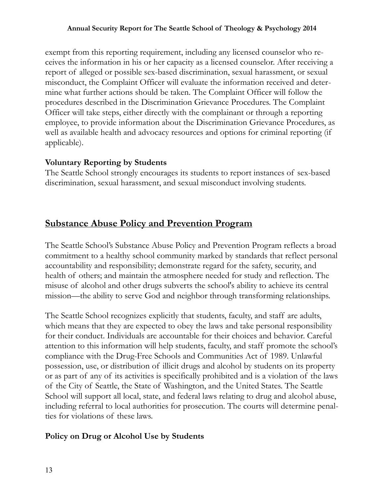exempt from this reporting requirement, including any licensed counselor who receives the information in his or her capacity as a licensed counselor. After receiving a report of alleged or possible sex-based discrimination, sexual harassment, or sexual misconduct, the Complaint Officer will evaluate the information received and determine what further actions should be taken. The Complaint Officer will follow the procedures described in the Discrimination Grievance Procedures. The Complaint Officer will take steps, either directly with the complainant or through a reporting employee, to provide information about the Discrimination Grievance Procedures, as well as available health and advocacy resources and options for criminal reporting (if applicable).

## **Voluntary Reporting by Students**

The Seattle School strongly encourages its students to report instances of sex-based discrimination, sexual harassment, and sexual misconduct involving students.

# **Substance Abuse Policy and Prevention Program**

The Seattle School's Substance Abuse Policy and Prevention Program reflects a broad commitment to a healthy school community marked by standards that reflect personal accountability and responsibility; demonstrate regard for the safety, security, and health of others; and maintain the atmosphere needed for study and reflection. The misuse of alcohol and other drugs subverts the school's ability to achieve its central mission—the ability to serve God and neighbor through transforming relationships.

The Seattle School recognizes explicitly that students, faculty, and staff are adults, which means that they are expected to obey the laws and take personal responsibility for their conduct. Individuals are accountable for their choices and behavior. Careful attention to this information will help students, faculty, and staff promote the school's compliance with the Drug-Free Schools and Communities Act of 1989. Unlawful possession, use, or distribution of illicit drugs and alcohol by students on its property or as part of any of its activities is specifically prohibited and is a violation of the laws of the City of Seattle, the State of Washington, and the United States. The Seattle School will support all local, state, and federal laws relating to drug and alcohol abuse, including referral to local authorities for prosecution. The courts will determine penalties for violations of these laws.

## **Policy on Drug or Alcohol Use by Students**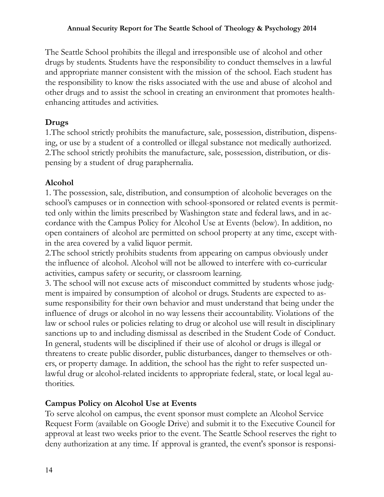The Seattle School prohibits the illegal and irresponsible use of alcohol and other drugs by students. Students have the responsibility to conduct themselves in a lawful and appropriate manner consistent with the mission of the school. Each student has the responsibility to know the risks associated with the use and abuse of alcohol and other drugs and to assist the school in creating an environment that promotes healthenhancing attitudes and activities.

## **Drugs**

1.The school strictly prohibits the manufacture, sale, possession, distribution, dispensing, or use by a student of a controlled or illegal substance not medically authorized. 2.The school strictly prohibits the manufacture, sale, possession, distribution, or dispensing by a student of drug paraphernalia.

## **Alcohol**

1. The possession, sale, distribution, and consumption of alcoholic beverages on the school's campuses or in connection with school-sponsored or related events is permitted only within the limits prescribed by Washington state and federal laws, and in accordance with the Campus Policy for Alcohol Use at Events (below). In addition, no open containers of alcohol are permitted on school property at any time, except within the area covered by a valid liquor permit.

2.The school strictly prohibits students from appearing on campus obviously under the influence of alcohol. Alcohol will not be allowed to interfere with co-curricular activities, campus safety or security, or classroom learning.

3. The school will not excuse acts of misconduct committed by students whose judgment is impaired by consumption of alcohol or drugs. Students are expected to assume responsibility for their own behavior and must understand that being under the influence of drugs or alcohol in no way lessens their accountability. Violations of the law or school rules or policies relating to drug or alcohol use will result in disciplinary sanctions up to and including dismissal as described in the Student Code of Conduct. In general, students will be disciplined if their use of alcohol or drugs is illegal or threatens to create public disorder, public disturbances, danger to themselves or others, or property damage. In addition, the school has the right to refer suspected unlawful drug or alcohol-related incidents to appropriate federal, state, or local legal authorities.

## **Campus Policy on Alcohol Use at Events**

To serve alcohol on campus, the event sponsor must complete an Alcohol Service Request Form (available on Google Drive) and submit it to the Executive Council for approval at least two weeks prior to the event. The Seattle School reserves the right to deny authorization at any time. If approval is granted, the event's sponsor is responsi-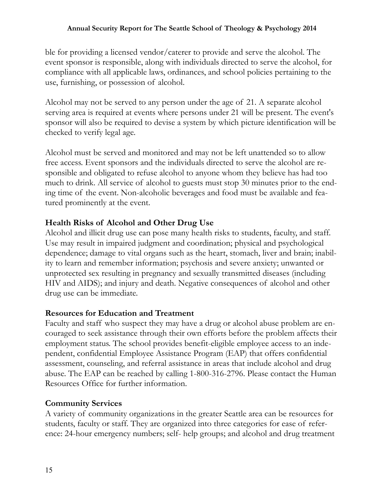ble for providing a licensed vendor/caterer to provide and serve the alcohol. The event sponsor is responsible, along with individuals directed to serve the alcohol, for compliance with all applicable laws, ordinances, and school policies pertaining to the use, furnishing, or possession of alcohol.

Alcohol may not be served to any person under the age of 21. A separate alcohol serving area is required at events where persons under 21 will be present. The event's sponsor will also be required to devise a system by which picture identification will be checked to verify legal age.

Alcohol must be served and monitored and may not be left unattended so to allow free access. Event sponsors and the individuals directed to serve the alcohol are responsible and obligated to refuse alcohol to anyone whom they believe has had too much to drink. All service of alcohol to guests must stop 30 minutes prior to the ending time of the event. Non-alcoholic beverages and food must be available and featured prominently at the event.

## **Health Risks of Alcohol and Other Drug Use**

Alcohol and illicit drug use can pose many health risks to students, faculty, and staff. Use may result in impaired judgment and coordination; physical and psychological dependence; damage to vital organs such as the heart, stomach, liver and brain; inability to learn and remember information; psychosis and severe anxiety; unwanted or unprotected sex resulting in pregnancy and sexually transmitted diseases (including HIV and AIDS); and injury and death. Negative consequences of alcohol and other drug use can be immediate.

## **Resources for Education and Treatment**

Faculty and staff who suspect they may have a drug or alcohol abuse problem are encouraged to seek assistance through their own efforts before the problem affects their employment status. The school provides benefit-eligible employee access to an independent, confidential Employee Assistance Program (EAP) that offers confidential assessment, counseling, and referral assistance in areas that include alcohol and drug abuse. The EAP can be reached by calling 1-800-316-2796. Please contact the Human Resources Office for further information.

## **Community Services**

A variety of community organizations in the greater Seattle area can be resources for students, faculty or staff. They are organized into three categories for ease of reference: 24-hour emergency numbers; self- help groups; and alcohol and drug treatment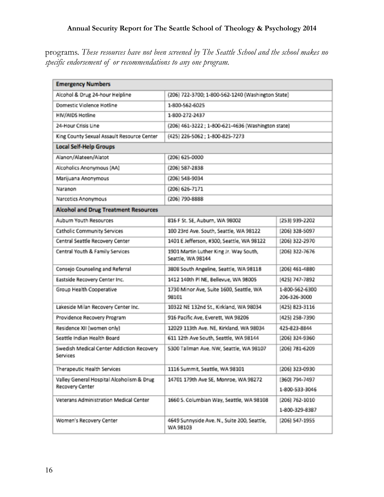programs. *These resources have not been screened by The Seattle School and the school makes no specific endorsement of or recommendations to any one program.*

| <b>Emergency Numbers</b>                                     |                                                             |                                  |  |
|--------------------------------------------------------------|-------------------------------------------------------------|----------------------------------|--|
| Alcohol & Drug 24-hour Helpline                              | (206) 722-3700; 1-800-562-1240 (Washington State)           |                                  |  |
| Domestic Violence Hotline                                    | 1-800-562-6025                                              |                                  |  |
| HIV/AIDS Hotline                                             | 1-800-272-2437                                              |                                  |  |
| 24-Hour Crisis Line                                          | (206) 461-3222; 1-800-621-4636 (Washington state)           |                                  |  |
| King County Sexual Assault Resource Center                   | (425) 226-5062; 1-800-825-7273                              |                                  |  |
| <b>Local Self-Help Groups</b>                                |                                                             |                                  |  |
| Alanon/Alateen/Alatot                                        | (206) 625-0000                                              |                                  |  |
| Alcoholics Anonymous (AA)                                    | (206) 587-2838                                              |                                  |  |
| Marijuana Anonymous                                          | (206) 548-9034                                              |                                  |  |
| Naranon                                                      | (206) 626-7171                                              |                                  |  |
| Narcotics Anonymous                                          | (206) 790-8888                                              |                                  |  |
| <b>Alcohol and Drug Treatment Resources</b>                  |                                                             |                                  |  |
| Auburn Youth Resources                                       | 816 F St. SE, Auburn, WA 98002                              | (253) 939-2202                   |  |
| Catholic Community Services                                  | 100 23rd Ave. South, Seattle, WA 98122                      | (206) 328-5097                   |  |
| Central Seattle Recovery Center                              | 1401 E Jefferson, #300, Seattle, WA 98122                   | (206) 322-2970                   |  |
| Central Youth & Family Services                              | 1901 Martin Luther King Jr. Way South,<br>Seattle, WA 98144 | (206) 322-7676                   |  |
| Consejo Counseling and Referral                              | 3808 South Angeline, Seattle, WA 98118                      | (206) 461-4880                   |  |
| Eastside Recovery Center Inc.                                | 1412 140th PI NE, Bellevue, WA 98005                        | (425) 747-7892                   |  |
| Group Health Cooperative                                     | 1730 Minor Ave, Suite 1600, Seattle, WA<br>98101            | 1-800-562-6300<br>206-326-3000   |  |
| Lakeside Milan Recovery Center Inc.                          | 10322 NE 132nd St., Kirkland, WA 98034                      | (425) 823-3116                   |  |
| Providence Recovery Program                                  | 916 Pacific Ave, Everett, WA 98206                          | (425) 258-7390                   |  |
| Residence XII (women only)                                   | 12029 113th Ave. NE, Kirkland, WA 98034                     | 425-823-8844                     |  |
| Seattle Indian Health Board                                  | 611 12th Ave South, Seattle, WA 98144                       | (206) 324-9360                   |  |
| Swedish Medical Center Addiction Recovery<br>Services        | 5300 Tallman Ave. NW, Seattle, WA 98107                     | (206) 781-6209                   |  |
| Therapeutic Health Services                                  | 1116 Summit, Seattle, WA 98101                              | (206) 323-0930                   |  |
| Valley General Hospital Alcoholism & Drug<br>Recovery Center | 14701 179th Ave SE, Monroe, WA 98272                        | (360) 794-7497<br>1-800-533-3046 |  |
| Veterans Administration Medical Center                       | 1660 S. Columbian Way, Seattle, WA 98108                    | (206) 762-1010                   |  |
|                                                              |                                                             | 1-800-329-8387                   |  |
| Women's Recovery Center                                      | 4649 Sunnyside Ave. N., Suite 200, Seattle,<br>WA 98103     | (206) 547-1955                   |  |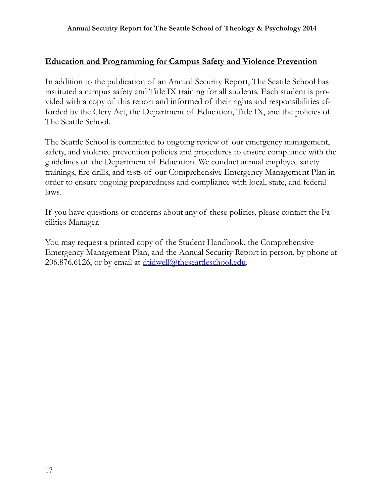#### **Education and Programming for Campus Safety and Violence Prevention**

In addition to the publication of an Annual Security Report, The Seattle School has instituted a campus safety and Title IX training for all students. Each student is provided with a copy of this report and informed of their rights and responsibilities afforded by the Clery Act, the Department of Education, Title IX, and the policies of The Seattle School.

The Seattle School is committed to ongoing review of our emergency management, safety, and violence prevention policies and procedures to ensure compliance with the guidelines of the Department of Education. We conduct annual employee safety trainings, fire drills, and tests of our Comprehensive Emergency Management Plan in order to ensure ongoing preparedness and compliance with local, state, and federal laws.

If you have questions or concerns about any of these policies, please contact the Facilities Manager.

You may request a printed copy of the Student Handbook, the Comprehensive Emergency Management Plan, and the Annual Security Report in person, by phone at 206.876.6126, or by email at [dtidwell@theseattleschool.edu.](mailto:dtidwell@theseattleschool.edu)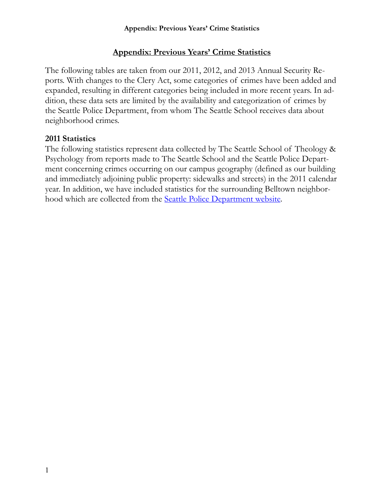## **Appendix: Previous Years' Crime Statistics**

The following tables are taken from our 2011, 2012, and 2013 Annual Security Reports. With changes to the Clery Act, some categories of crimes have been added and expanded, resulting in different categories being included in more recent years. In addition, these data sets are limited by the availability and categorization of crimes by the Seattle Police Department, from whom The Seattle School receives data about neighborhood crimes.

#### **2011 Statistics**

The following statistics represent data collected by The Seattle School of Theology & Psychology from reports made to The Seattle School and the Seattle Police Department concerning crimes occurring on our campus geography (defined as our building and immediately adjoining public property: sidewalks and streets) in the 2011 calendar year. In addition, we have included statistics for the surrounding Belltown neighborhood which are collected from the **Seattle Police Department website**.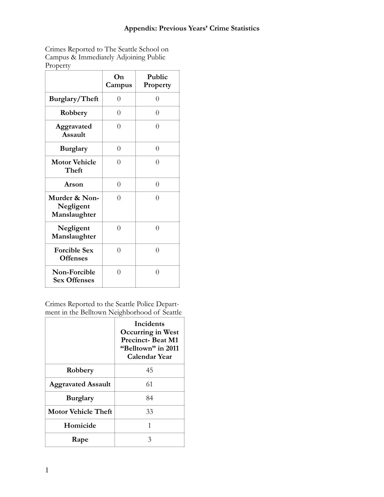#### **Appendix: Previous Years' Crime Statistics**

Crimes Reported to The Seattle School on Campus & Immediately Adjoining Public Property

|                                            | On<br>Campus | Public<br>Property |
|--------------------------------------------|--------------|--------------------|
| Burglary/Theft                             | 0            | $\overline{0}$     |
| Robbery                                    | $\Omega$     | 0                  |
| Aggravated<br><b>Assault</b>               | $\Omega$     | $\Omega$           |
| <b>Burglary</b>                            | $\theta$     | $\theta$           |
| <b>Motor Vehicle</b><br>Theft              | $\Omega$     | $\Omega$           |
| Arson                                      | $\theta$     | $\overline{0}$     |
| Murder & Non-<br>Negligent<br>Manslaughter | $\Omega$     | $\Omega$           |
| Negligent<br>Manslaughter                  | $\Omega$     | $\theta$           |
| <b>Forcible Sex</b><br><b>Offenses</b>     | $\Omega$     | $\Omega$           |
| Non-Forcible<br><b>Sex Offenses</b>        | $\Omega$     | $\theta$           |

Crimes Reported to the Seattle Police Department in the Belltown Neighborhood of Seattle

|                           | <b>Incidents</b><br>Occurring in West<br><b>Precinct-Beat M1</b><br>"Belltown" in 2011<br><b>Calendar Year</b> |
|---------------------------|----------------------------------------------------------------------------------------------------------------|
| Robbery                   | 45                                                                                                             |
| <b>Aggravated Assault</b> | 61                                                                                                             |
| <b>Burglary</b>           | 84                                                                                                             |
| Motor Vehicle Theft       | 33                                                                                                             |
| Homicide                  | 1                                                                                                              |
| Rape                      | 3                                                                                                              |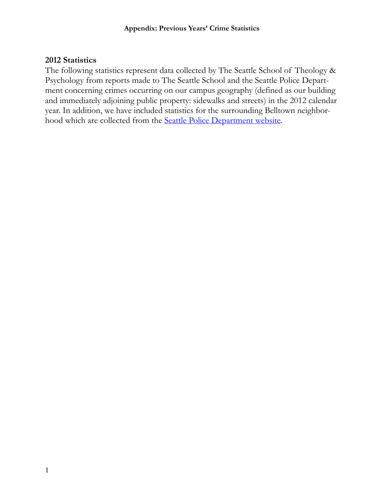#### **2012 Statistics**

The following statistics represent data collected by The Seattle School of Theology & Psychology from reports made to The Seattle School and the Seattle Police Department concerning crimes occurring on our campus geography (defined as our building and immediately adjoining public property: sidewalks and streets) in the 2012 calendar year. In addition, we have included statistics for the surrounding Belltown neighborhood which are collected from the [Seattle Police Department website](http://www.seattle.gov/police/crime/11_stats.htm).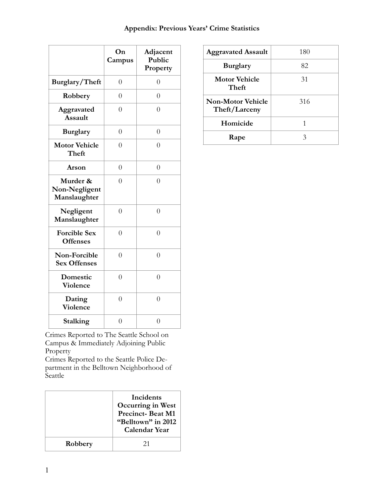|                                           | On<br>Campus   | Adjacent<br>Public<br>Property |
|-------------------------------------------|----------------|--------------------------------|
| Burglary/Theft                            | $\overline{0}$ | $\theta$                       |
| Robbery                                   | $\overline{0}$ | $\overline{0}$                 |
| Aggravated<br><b>Assault</b>              | $\overline{0}$ | $\overline{0}$                 |
| <b>Burglary</b>                           | $\overline{0}$ | $\theta$                       |
| <b>Motor Vehicle</b><br>Theft             | $\overline{0}$ | $\overline{0}$                 |
| Arson                                     | $\overline{0}$ | $\overline{0}$                 |
| Murder &<br>Non-Negligent<br>Manslaughter | $\theta$       | $\overline{0}$                 |
| Negligent<br>Manslaughter                 | $\overline{0}$ | $\overline{0}$                 |
| <b>Forcible Sex</b><br><b>Offenses</b>    | $\overline{0}$ | $\overline{0}$                 |
| Non-Forcible<br><b>Sex Offenses</b>       | $\overline{0}$ | $\overline{0}$                 |
| Domestic<br>Violence                      | $\overline{0}$ | $\overline{0}$                 |
| Dating<br><b>Violence</b>                 | $\overline{0}$ | $\overline{0}$                 |
| Stalking                                  | $\overline{0}$ | $\overline{0}$                 |

| Crimes Reported to The Seattle School on |  |
|------------------------------------------|--|
| Campus & Immediately Adjoining Public    |  |
| Property                                 |  |

Crimes Reported to the Seattle Police Department in the Belltown Neighborhood of Seattle

|         | Incidents<br>Occurring in West<br><b>Precinct-Beat M1</b><br>"Belltown" in 2012<br><b>Calendar Year</b> |
|---------|---------------------------------------------------------------------------------------------------------|
| Robbery | 21                                                                                                      |

| <b>Aggravated Assault</b>          | 180 |
|------------------------------------|-----|
| <b>Burglary</b>                    | 82  |
| <b>Motor Vehicle</b><br>Theft      | 31  |
| Non-Motor Vehicle<br>Theft/Larceny | 316 |
| Homicide                           | 1   |
| Rape                               | 3   |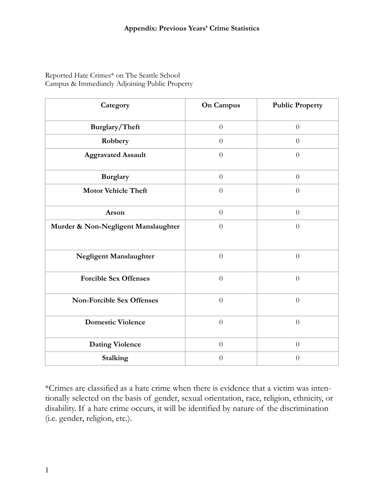#### Reported Hate Crimes\* on The Seattle School Campus & Immediately Adjoining Public Property

| Category                            | <b>On Campus</b> | <b>Public Property</b> |
|-------------------------------------|------------------|------------------------|
| Burglary/Theft                      | $\theta$         | $\boldsymbol{0}$       |
| Robbery                             | $\theta$         | $\boldsymbol{0}$       |
| <b>Aggravated Assault</b>           | $\overline{0}$   | $\overline{0}$         |
| <b>Burglary</b>                     | $\boldsymbol{0}$ | $\boldsymbol{0}$       |
| <b>Motor Vehicle Theft</b>          | $\theta$         | $\theta$               |
| Arson                               | $\theta$         | $\overline{0}$         |
| Murder & Non-Negligent Manslaughter | $\theta$         | $\overline{0}$         |
| Negligent Manslaughter              | $\overline{0}$   | $\overline{0}$         |
| <b>Forcible Sex Offenses</b>        | $\theta$         | $\overline{0}$         |
| <b>Non-Forcible Sex Offenses</b>    | $\overline{0}$   | $\overline{0}$         |
| <b>Domestic Violence</b>            | $\overline{0}$   | $\overline{0}$         |
| <b>Dating Violence</b>              | $\overline{0}$   | $\overline{0}$         |
| <b>Stalking</b>                     | $\theta$         | $\theta$               |

\*Crimes are classified as a hate crime when there is evidence that a victim was intentionally selected on the basis of gender, sexual orientation, race, religion, ethnicity, or disability. If a hate crime occurs, it will be identified by nature of the discrimination (i.e. gender, religion, etc.).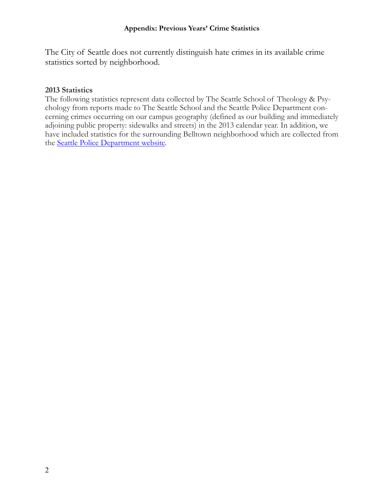The City of Seattle does not currently distinguish hate crimes in its available crime statistics sorted by neighborhood.

#### **2013 Statistics**

The following statistics represent data collected by The Seattle School of Theology & Psychology from reports made to The Seattle School and the Seattle Police Department concerning crimes occurring on our campus geography (defined as our building and immediately adjoining public property: sidewalks and streets) in the 2013 calendar year. In addition, we have included statistics for the surrounding Belltown neighborhood which are collected from the [Seattle Police Department website.](http://www.seattle.gov/police/crime/12_stats.htm)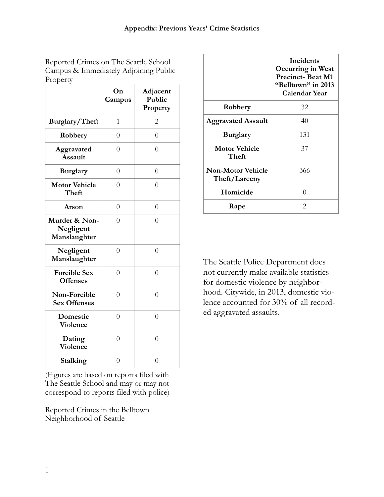Reported Crimes on The Seattle School Campus & Immediately Adjoining Public Property

|                                            | On<br>Campus   | Adjacent<br>Public<br>Property |
|--------------------------------------------|----------------|--------------------------------|
| Burglary/Theft                             | 1              | 2                              |
| Robbery                                    | $\overline{0}$ | $\overline{0}$                 |
| Aggravated<br><b>Assault</b>               | $\overline{0}$ | $\overline{0}$                 |
| <b>Burglary</b>                            | $\overline{0}$ | $\overline{0}$                 |
| <b>Motor Vehicle</b><br>Theft              | $\overline{0}$ | $\Omega$                       |
| Arson                                      | $\overline{0}$ | $\overline{0}$                 |
| Murder & Non-<br>Negligent<br>Manslaughter | $\overline{0}$ | $\overline{0}$                 |
| Negligent<br>Manslaughter                  | $\overline{0}$ | $\overline{0}$                 |
| <b>Forcible Sex</b><br><b>Offenses</b>     | $\overline{0}$ | $\overline{0}$                 |
| Non-Forcible<br><b>Sex Offenses</b>        | $\overline{0}$ | $\overline{0}$                 |
| Domestic<br><b>Violence</b>                | $\overline{0}$ | $\overline{0}$                 |
| Dating<br><b>Violence</b>                  | $\overline{0}$ | $\overline{0}$                 |
| Stalking                                   | $\overline{0}$ | $\overline{0}$                 |

(Figures are based on reports filed with The Seattle School and may or may not correspond to reports filed with police)

Reported Crimes in the Belltown Neighborhood of Seattle

|                                           | Incidents<br><b>Occurring in West</b><br><b>Precinct-Beat M1</b><br>"Belltown" in 2013<br>Calendar Year |
|-------------------------------------------|---------------------------------------------------------------------------------------------------------|
| Robbery                                   | 32                                                                                                      |
| <b>Aggravated Assault</b>                 | 40                                                                                                      |
| <b>Burglary</b>                           | 131                                                                                                     |
| <b>Motor Vehicle</b><br>Theft             | 37                                                                                                      |
| <b>Non-Motor Vehicle</b><br>Theft/Larceny | 366                                                                                                     |
| Homicide                                  | 0                                                                                                       |
| Rape                                      | $\mathcal{D}_{\cdot}$                                                                                   |

The Seattle Police Department does not currently make available statistics for domestic violence by neighborhood. Citywide, in 2013, domestic violence accounted for 30% of all recorded aggravated assaults.